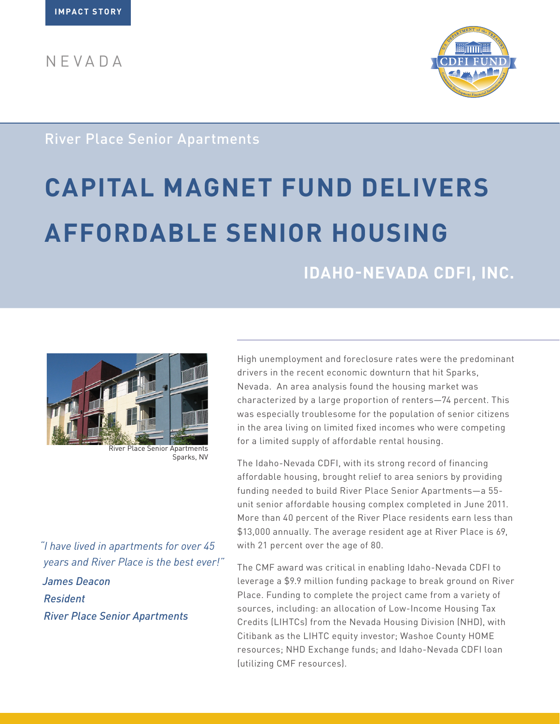NEVADA



### River Place Senior Apartments

# **CAPITAL MAGNET FUND DELIVERS AFFORDABLE SENIOR HOUSING**

## **IDAHO-NEVADA CDFI, INC.**



Sparks, NV

*"I have lived in apartments for over 45 years and River Place is the best ever!" James Deacon Resident River Place Senior Apartments*

High unemployment and foreclosure rates were the predominant drivers in the recent economic downturn that hit Sparks, Nevada. An area analysis found the housing market was characterized by a large proportion of renters—74 percent. This was especially troublesome for the population of senior citizens in the area living on limited fixed incomes who were competing for a limited supply of affordable rental housing.

The Idaho-Nevada CDFI, with its strong record of financing affordable housing, brought relief to area seniors by providing funding needed to build River Place Senior Apartments—a 55 unit senior affordable housing complex completed in June 2011. More than 40 percent of the River Place residents earn less than \$13,000 annually. The average resident age at River Place is 69, with 21 percent over the age of 80.

The CMF award was critical in enabling Idaho-Nevada CDFI to leverage a \$9.9 million funding package to break ground on River Place. Funding to complete the project came from a variety of sources, including: an allocation of Low-Income Housing Tax Credits (LIHTCs) from the Nevada Housing Division (NHD), with Citibank as the LIHTC equity investor; Washoe County HOME resources; NHD Exchange funds; and Idaho-Nevada CDFI loan (utilizing CMF resources).